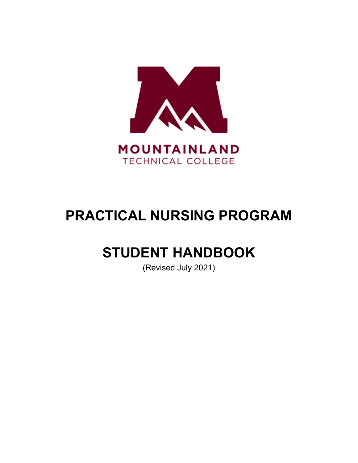

# **PRACTICAL NURSING PROGRAM**

# **STUDENT HANDBOOK**

(Revised July 2021)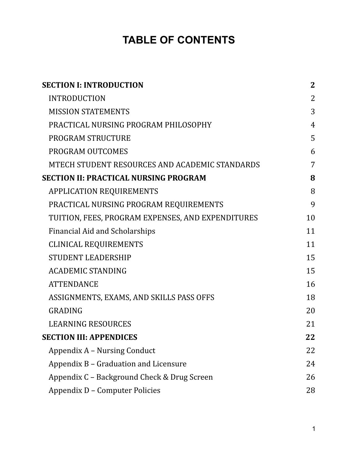## **TABLE OF CONTENTS**

| <b>SECTION I: INTRODUCTION</b>                    | $\mathbf{2}$   |
|---------------------------------------------------|----------------|
| <b>INTRODUCTION</b>                               | 2              |
| <b>MISSION STATEMENTS</b>                         | 3              |
| PRACTICAL NURSING PROGRAM PHILOSOPHY              | $\overline{4}$ |
| PROGRAM STRUCTURE                                 | 5              |
| PROGRAM OUTCOMES                                  | 6              |
| MTECH STUDENT RESOURCES AND ACADEMIC STANDARDS    | 7              |
| <b>SECTION II: PRACTICAL NURSING PROGRAM</b>      | 8              |
| <b>APPLICATION REQUIREMENTS</b>                   | 8              |
| PRACTICAL NURSING PROGRAM REQUIREMENTS            | 9              |
| TUITION, FEES, PROGRAM EXPENSES, AND EXPENDITURES | 10             |
| <b>Financial Aid and Scholarships</b>             | 11             |
| <b>CLINICAL REQUIREMENTS</b>                      | 11             |
| <b>STUDENT LEADERSHIP</b>                         | 15             |
| <b>ACADEMIC STANDING</b>                          | 15             |
| <b>ATTENDANCE</b>                                 | 16             |
| ASSIGNMENTS, EXAMS, AND SKILLS PASS OFFS          | 18             |
| <b>GRADING</b>                                    | 20             |
| <b>LEARNING RESOURCES</b>                         | 21             |
| <b>SECTION III: APPENDICES</b>                    | 22             |
| Appendix A – Nursing Conduct                      | 22             |
| Appendix B – Graduation and Licensure             | 24             |
| Appendix C – Background Check & Drug Screen       | 26             |
| Appendix D - Computer Policies                    | 28             |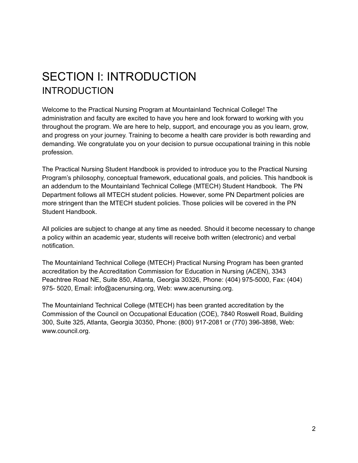# <span id="page-2-1"></span><span id="page-2-0"></span>SECTION I: INTRODUCTION **INTRODUCTION**

Welcome to the Practical Nursing Program at Mountainland Technical College! The administration and faculty are excited to have you here and look forward to working with you throughout the program. We are here to help, support, and encourage you as you learn, grow, and progress on your journey. Training to become a health care provider is both rewarding and demanding. We congratulate you on your decision to pursue occupational training in this noble profession.

The Practical Nursing Student Handbook is provided to introduce you to the Practical Nursing Program's philosophy, conceptual framework, educational goals, and policies. This handbook is an addendum to the Mountainland Technical College (MTECH) Student Handbook. The PN Department follows all MTECH student policies. However, some PN Department policies are more stringent than the MTECH student policies. Those policies will be covered in the PN Student Handbook.

All policies are subject to change at any time as needed. Should it become necessary to change a policy within an academic year, students will receive both written (electronic) and verbal notification.

The Mountainland Technical College (MTECH) Practical Nursing Program has been granted accreditation by the Accreditation Commission for Education in Nursing (ACEN), 3343 Peachtree Road NE, Suite 850, Atlanta, Georgia 30326, Phone: (404) 975-5000, Fax: (404) 975- 5020, Email: info@acenursing.org, Web: www.acenursing.org.

The Mountainland Technical College (MTECH) has been granted accreditation by the Commission of the Council on Occupational Education (COE), 7840 Roswell Road, Building 300, Suite 325, Atlanta, Georgia 30350, Phone: (800) 917-2081 or (770) 396-3898, Web: www.council.org.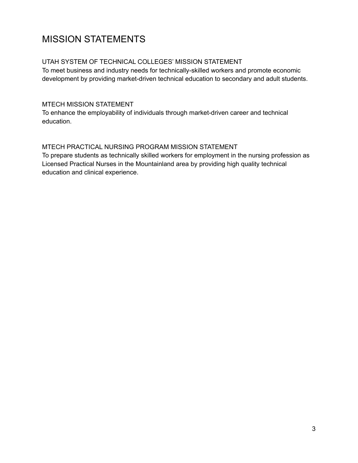### <span id="page-3-0"></span>MISSION STATEMENTS

#### UTAH SYSTEM OF TECHNICAL COLLEGES' MISSION STATEMENT

To meet business and industry needs for technically-skilled workers and promote economic development by providing market-driven technical education to secondary and adult students.

#### MTECH MISSION STATEMENT

To enhance the employability of individuals through market-driven career and technical education.

#### MTECH PRACTICAL NURSING PROGRAM MISSION STATEMENT

To prepare students as technically skilled workers for employment in the nursing profession as Licensed Practical Nurses in the Mountainland area by providing high quality technical education and clinical experience.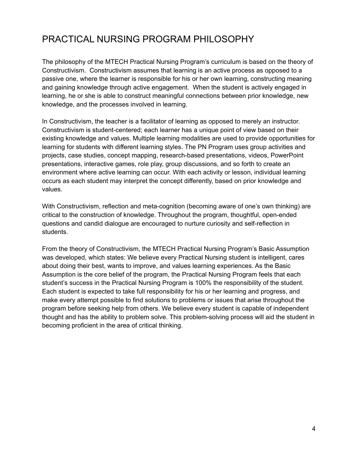### <span id="page-4-0"></span>PRACTICAL NURSING PROGRAM PHILOSOPHY

The philosophy of the MTECH Practical Nursing Program's curriculum is based on the theory of Constructivism. Constructivism assumes that learning is an active process as opposed to a passive one, where the learner is responsible for his or her own learning, constructing meaning and gaining knowledge through active engagement. When the student is actively engaged in learning, he or she is able to construct meaningful connections between prior knowledge, new knowledge, and the processes involved in learning.

In Constructivism, the teacher is a facilitator of learning as opposed to merely an instructor. Constructivism is student-centered; each learner has a unique point of view based on their existing knowledge and values. Multiple learning modalities are used to provide opportunities for learning for students with different learning styles. The PN Program uses group activities and projects, case studies, concept mapping, research-based presentations, videos, PowerPoint presentations, interactive games, role play, group discussions, and so forth to create an environment where active learning can occur. With each activity or lesson, individual learning occurs as each student may interpret the concept differently, based on prior knowledge and values.

With Constructivism, reflection and meta-cognition (becoming aware of one's own thinking) are critical to the construction of knowledge. Throughout the program, thoughtful, open-ended questions and candid dialogue are encouraged to nurture curiosity and self-reflection in students.

From the theory of Constructivism, the MTECH Practical Nursing Program's Basic Assumption was developed, which states: We believe every Practical Nursing student is intelligent, cares about doing their best, wants to improve, and values learning experiences. As the Basic Assumption is the core belief of the program, the Practical Nursing Program feels that each student's success in the Practical Nursing Program is 100% the responsibility of the student. Each student is expected to take full responsibility for his or her learning and progress, and make every attempt possible to find solutions to problems or issues that arise throughout the program before seeking help from others. We believe every student is capable of independent thought and has the ability to problem solve. This problem-solving process will aid the student in becoming proficient in the area of critical thinking.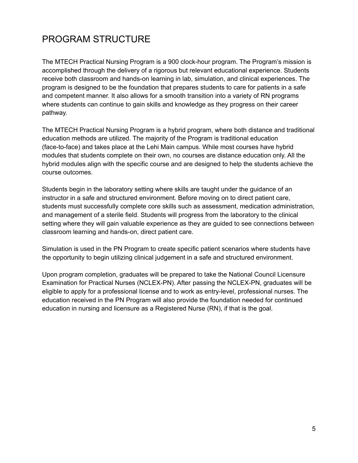### <span id="page-5-0"></span>PROGRAM STRUCTURE

The MTECH Practical Nursing Program is a 900 clock-hour program. The Program's mission is accomplished through the delivery of a rigorous but relevant educational experience. Students receive both classroom and hands-on learning in lab, simulation, and clinical experiences. The program is designed to be the foundation that prepares students to care for patients in a safe and competent manner. It also allows for a smooth transition into a variety of RN programs where students can continue to gain skills and knowledge as they progress on their career pathway.

The MTECH Practical Nursing Program is a hybrid program, where both distance and traditional education methods are utilized. The majority of the Program is traditional education (face-to-face) and takes place at the Lehi Main campus. While most courses have hybrid modules that students complete on their own, no courses are distance education only. All the hybrid modules align with the specific course and are designed to help the students achieve the course outcomes.

Students begin in the laboratory setting where skills are taught under the guidance of an instructor in a safe and structured environment. Before moving on to direct patient care, students must successfully complete core skills such as assessment, medication administration, and management of a sterile field. Students will progress from the laboratory to the clinical setting where they will gain valuable experience as they are guided to see connections between classroom learning and hands-on, direct patient care.

Simulation is used in the PN Program to create specific patient scenarios where students have the opportunity to begin utilizing clinical judgement in a safe and structured environment.

Upon program completion, graduates will be prepared to take the National Council Licensure Examination for Practical Nurses (NCLEX-PN). After passing the NCLEX-PN, graduates will be eligible to apply for a professional license and to work as entry-level, professional nurses. The education received in the PN Program will also provide the foundation needed for continued education in nursing and licensure as a Registered Nurse (RN), if that is the goal.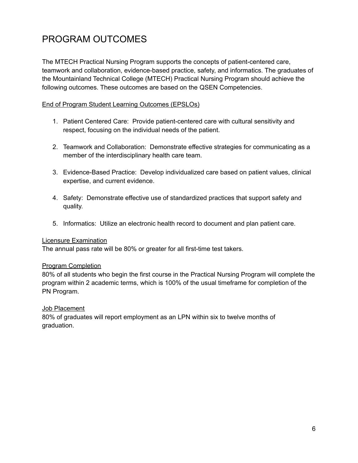### <span id="page-6-0"></span>PROGRAM OUTCOMES

The MTECH Practical Nursing Program supports the concepts of patient-centered care, teamwork and collaboration, evidence-based practice, safety, and informatics. The graduates of the Mountainland Technical College (MTECH) Practical Nursing Program should achieve the following outcomes. These outcomes are based on the QSEN Competencies.

#### End of Program Student Learning Outcomes (EPSLOs)

- 1. Patient Centered Care: Provide patient-centered care with cultural sensitivity and respect, focusing on the individual needs of the patient.
- 2. Teamwork and Collaboration: Demonstrate effective strategies for communicating as a member of the interdisciplinary health care team.
- 3. Evidence-Based Practice: Develop individualized care based on patient values, clinical expertise, and current evidence.
- 4. Safety: Demonstrate effective use of standardized practices that support safety and quality.
- 5. Informatics: Utilize an electronic health record to document and plan patient care.

#### Licensure Examination

The annual pass rate will be 80% or greater for all first-time test takers.

#### Program Completion

80% of all students who begin the first course in the Practical Nursing Program will complete the program within 2 academic terms, which is 100% of the usual timeframe for completion of the PN Program.

#### Job Placement

80% of graduates will report employment as an LPN within six to twelve months of graduation.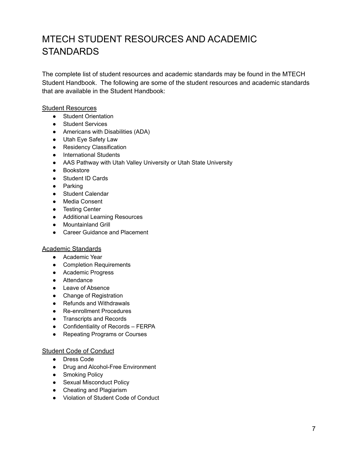### <span id="page-7-0"></span>MTECH STUDENT RESOURCES AND ACADEMIC **STANDARDS**

The complete list of student resources and academic standards may be found in the MTECH Student Handbook. The following are some of the student resources and academic standards that are available in the Student Handbook:

#### Student Resources

- Student Orientation
- Student Services
- Americans with Disabilities (ADA)
- Utah Eye Safety Law
- Residency Classification
- International Students
- AAS Pathway with Utah Valley University or Utah State University
- Bookstore
- Student ID Cards
- Parking
- Student Calendar
- Media Consent
- Testing Center
- Additional Learning Resources
- Mountainland Grill
- Career Guidance and Placement

#### Academic Standards

- Academic Year
- Completion Requirements
- Academic Progress
- Attendance
- Leave of Absence
- Change of Registration
- Refunds and Withdrawals
- Re-enrollment Procedures
- Transcripts and Records
- Confidentiality of Records FERPA
- Repeating Programs or Courses

#### Student Code of Conduct

- Dress Code
- Drug and Alcohol-Free Environment
- Smoking Policy
- Sexual Misconduct Policy
- Cheating and Plagiarism
- Violation of Student Code of Conduct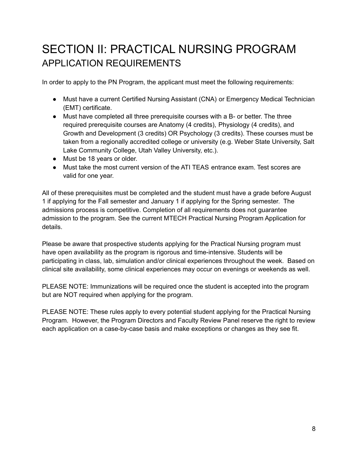# <span id="page-8-1"></span><span id="page-8-0"></span>SECTION II: PRACTICAL NURSING PROGRAM APPLICATION REQUIREMENTS

In order to apply to the PN Program, the applicant must meet the following requirements:

- Must have a current Certified Nursing Assistant (CNA) or Emergency Medical Technician (EMT) certificate.
- Must have completed all three prerequisite courses with a B- or better. The three required prerequisite courses are Anatomy (4 credits), Physiology (4 credits), and Growth and Development (3 credits) OR Psychology (3 credits). These courses must be taken from a regionally accredited college or university (e.g. Weber State University, Salt Lake Community College, Utah Valley University, etc.).
- Must be 18 years or older.
- Must take the most current version of the ATI TEAS entrance exam. Test scores are valid for one year.

All of these prerequisites must be completed and the student must have a grade before August 1 if applying for the Fall semester and January 1 if applying for the Spring semester. The admissions process is competitive. Completion of all requirements does not guarantee admission to the program. See the current MTECH Practical Nursing Program Application for details.

Please be aware that prospective students applying for the Practical Nursing program must have open availability as the program is rigorous and time-intensive. Students will be participating in class, lab, simulation and/or clinical experiences throughout the week. Based on clinical site availability, some clinical experiences may occur on evenings or weekends as well.

PLEASE NOTE: Immunizations will be required once the student is accepted into the program but are NOT required when applying for the program.

PLEASE NOTE: These rules apply to every potential student applying for the Practical Nursing Program. However, the Program Directors and Faculty Review Panel reserve the right to review each application on a case-by-case basis and make exceptions or changes as they see fit.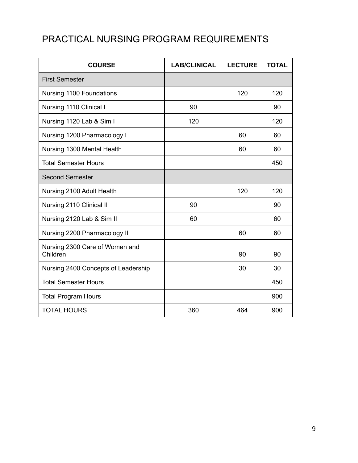### <span id="page-9-0"></span>PRACTICAL NURSING PROGRAM REQUIREMENTS

| <b>COURSE</b>                              | <b>LAB/CLINICAL</b> | <b>LECTURE</b> | <b>TOTAL</b> |
|--------------------------------------------|---------------------|----------------|--------------|
| <b>First Semester</b>                      |                     |                |              |
| Nursing 1100 Foundations                   |                     | 120            | 120          |
| Nursing 1110 Clinical I                    | 90                  |                | 90           |
| Nursing 1120 Lab & Sim I                   | 120                 |                | 120          |
| Nursing 1200 Pharmacology I                |                     | 60             | 60           |
| Nursing 1300 Mental Health                 |                     | 60             | 60           |
| <b>Total Semester Hours</b>                |                     |                | 450          |
| <b>Second Semester</b>                     |                     |                |              |
| Nursing 2100 Adult Health                  |                     | 120            | 120          |
| Nursing 2110 Clinical II                   | 90                  |                | 90           |
| Nursing 2120 Lab & Sim II                  | 60                  |                | 60           |
| Nursing 2200 Pharmacology II               |                     | 60             | 60           |
| Nursing 2300 Care of Women and<br>Children |                     | 90             | 90           |
| Nursing 2400 Concepts of Leadership        |                     | 30             | 30           |
| <b>Total Semester Hours</b>                |                     |                | 450          |
| <b>Total Program Hours</b>                 |                     |                | 900          |
| <b>TOTAL HOURS</b>                         | 360                 | 464            | 900          |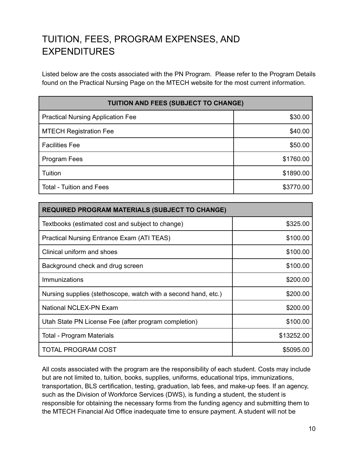### <span id="page-10-0"></span>TUITION, FEES, PROGRAM EXPENSES, AND EXPENDITURES

Listed below are the costs associated with the PN Program. Please refer to the Program Details found on the Practical Nursing Page on the MTECH website for the most current information.

| <b>TUITION AND FEES (SUBJECT TO CHANGE)</b> |           |  |
|---------------------------------------------|-----------|--|
| <b>Practical Nursing Application Fee</b>    | \$30.00   |  |
| <b>MTECH Registration Fee</b>               | \$40.00   |  |
| <b>Facilities Fee</b>                       | \$50.00   |  |
| Program Fees                                | \$1760.00 |  |
| Tuition                                     | \$1890.00 |  |
| <b>Total - Tuition and Fees</b>             | \$3770.00 |  |

| <b>REQUIRED PROGRAM MATERIALS (SUBJECT TO CHANGE)</b>          |            |
|----------------------------------------------------------------|------------|
| Textbooks (estimated cost and subject to change)               | \$325.00   |
| Practical Nursing Entrance Exam (ATI TEAS)                     | \$100.00   |
| Clinical uniform and shoes                                     | \$100.00   |
| Background check and drug screen                               | \$100.00   |
| Immunizations                                                  | \$200.00   |
| Nursing supplies (stethoscope, watch with a second hand, etc.) | \$200.00   |
| National NCLEX-PN Exam                                         | \$200.00   |
| Utah State PN License Fee (after program completion)           | \$100.00   |
| <b>Total - Program Materials</b>                               | \$13252.00 |
| TOTAL PROGRAM COST                                             | \$5095.00  |

All costs associated with the program are the responsibility of each student. Costs may include but are not limited to, tuition, books, supplies, uniforms, educational trips, immunizations, transportation, BLS certification, testing, graduation, lab fees, and make-up fees. If an agency, such as the Division of Workforce Services (DWS), is funding a student, the student is responsible for obtaining the necessary forms from the funding agency and submitting them to the MTECH Financial Aid Office inadequate time to ensure payment. A student will not be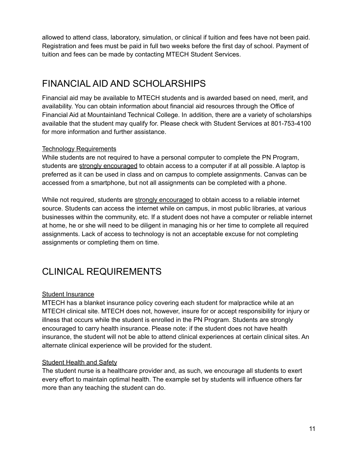allowed to attend class, laboratory, simulation, or clinical if tuition and fees have not been paid. Registration and fees must be paid in full two weeks before the first day of school. Payment of tuition and fees can be made by contacting MTECH Student Services.

### <span id="page-11-0"></span>FINANCIAL AID AND SCHOLARSHIPS

Financial aid may be available to MTECH students and is awarded based on need, merit, and availability. You can obtain information about financial aid resources through the Office of Financial Aid at Mountainland Technical College. In addition, there are a variety of scholarships available that the student may qualify for. Please check with Student Services at 801-753-4100 for more information and further assistance.

#### Technology Requirements

While students are not required to have a personal computer to complete the PN Program, students are strongly encouraged to obtain access to a computer if at all possible. A laptop is preferred as it can be used in class and on campus to complete assignments. Canvas can be accessed from a smartphone, but not all assignments can be completed with a phone.

While not required, students are strongly encouraged to obtain access to a reliable internet source. Students can access the internet while on campus, in most public libraries, at various businesses within the community, etc. If a student does not have a computer or reliable internet at home, he or she will need to be diligent in managing his or her time to complete all required assignments. Lack of access to technology is not an acceptable excuse for not completing assignments or completing them on time.

### <span id="page-11-1"></span>CLINICAL REQUIREMENTS

#### Student Insurance

MTECH has a blanket insurance policy covering each student for malpractice while at an MTECH clinical site. MTECH does not, however, insure for or accept responsibility for injury or illness that occurs while the student is enrolled in the PN Program. Students are strongly encouraged to carry health insurance. Please note: if the student does not have health insurance, the student will not be able to attend clinical experiences at certain clinical sites. An alternate clinical experience will be provided for the student.

#### **Student Health and Safety**

The student nurse is a healthcare provider and, as such, we encourage all students to exert every effort to maintain optimal health. The example set by students will influence others far more than any teaching the student can do.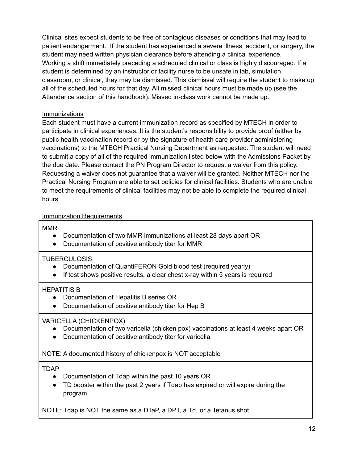Clinical sites expect students to be free of contagious diseases or conditions that may lead to patient endangerment. If the student has experienced a severe illness, accident, or surgery, the student may need written physician clearance before attending a clinical experience. Working a shift immediately preceding a scheduled clinical or class is highly discouraged. If a student is determined by an instructor or facility nurse to be unsafe in lab, simulation, classroom, or clinical, they may be dismissed. This dismissal will require the student to make up all of the scheduled hours for that day. All missed clinical hours must be made up (see the Attendance section of this handbook). Missed in-class work cannot be made up.

#### Immunizations

Each student must have a current immunization record as specified by MTECH in order to participate in clinical experiences. It is the student's responsibility to provide proof (either by public health vaccination record or by the signature of health care provider administering vaccinations) to the MTECH Practical Nursing Department as requested. The student will need to submit a copy of all of the required immunization listed below with the Admissions Packet by the due date. Please contact the PN Program Director to request a waiver from this policy. Requesting a waiver does not guarantee that a waiver will be granted. Neither MTECH nor the Practical Nursing Program are able to set policies for clinical facilities. Students who are unable to meet the requirements of clinical facilities may not be able to complete the required clinical hours.

#### Immunization Requirements

#### MMR

- Documentation of two MMR immunizations at least 28 days apart OR
- Documentation of positive antibody titer for MMR

#### TUBERCULOSIS

- Documentation of QuantiFERON Gold blood test (required yearly)
- If test shows positive results, a clear chest x-ray within 5 years is required

#### HEPATITIS B

- Documentation of Hepatitis B series OR
- Documentation of positive antibody titer for Hep B

#### VARICELLA (CHICKENPOX)

- Documentation of two varicella (chicken pox) vaccinations at least 4 weeks apart OR
- Documentation of positive antibody titer for varicella

NOTE: A documented history of chickenpox is NOT acceptable

#### TDAP

- Documentation of Tdap within the past 10 years OR
- TD booster within the past 2 years if Tdap has expired or will expire during the program

NOTE: Tdap is NOT the same as a DTaP, a DPT, a Td, or a Tetanus shot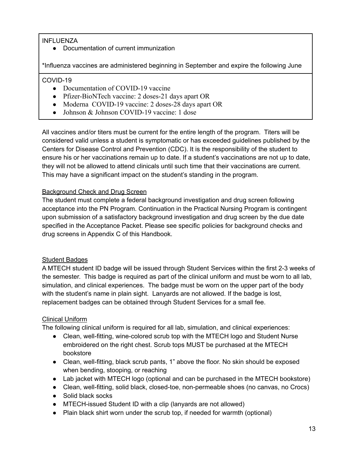#### INFLUENZA

● Documentation of current immunization

\*Influenza vaccines are administered beginning in September and expire the following June

#### COVID-19

- Documentation of COVID-19 vaccine
- Pfizer-BioNTech vaccine: 2 doses-21 days apart OR
- Moderna COVID-19 vaccine: 2 doses-28 days apart OR
- Johnson & Johnson COVID-19 vaccine: 1 dose

All vaccines and/or titers must be current for the entire length of the program. Titers will be considered valid unless a student is symptomatic or has exceeded guidelines published by the Centers for Disease Control and Prevention (CDC). It is the responsibility of the student to ensure his or her vaccinations remain up to date. If a student's vaccinations are not up to date, they will not be allowed to attend clinicals until such time that their vaccinations are current. This may have a significant impact on the student's standing in the program.

#### Background Check and Drug Screen

The student must complete a federal background investigation and drug screen following acceptance into the PN Program. Continuation in the Practical Nursing Program is contingent upon submission of a satisfactory background investigation and drug screen by the due date specified in the Acceptance Packet. Please see specific policies for background checks and drug screens in Appendix C of this Handbook.

#### Student Badges

A MTECH student ID badge will be issued through Student Services within the first 2-3 weeks of the semester. This badge is required as part of the clinical uniform and must be worn to all lab, simulation, and clinical experiences. The badge must be worn on the upper part of the body with the student's name in plain sight. Lanyards are not allowed. If the badge is lost, replacement badges can be obtained through Student Services for a small fee.

#### Clinical Uniform

The following clinical uniform is required for all lab, simulation, and clinical experiences:

- Clean, well-fitting, wine-colored scrub top with the MTECH logo and Student Nurse embroidered on the right chest. Scrub tops MUST be purchased at the MTECH bookstore
- Clean, well-fitting, black scrub pants, 1" above the floor. No skin should be exposed when bending, stooping, or reaching
- Lab jacket with MTECH logo (optional and can be purchased in the MTECH bookstore)
- Clean, well-fitting, solid black, closed-toe, non-permeable shoes (no canvas, no Crocs)
- Solid black socks
- MTECH-issued Student ID with a clip (lanyards are not allowed)
- Plain black shirt worn under the scrub top, if needed for warmth (optional)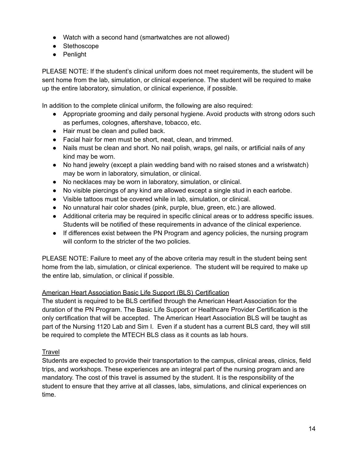- Watch with a second hand (smartwatches are not allowed)
- Stethoscope
- Penlight

PLEASE NOTE: If the student's clinical uniform does not meet requirements, the student will be sent home from the lab, simulation, or clinical experience. The student will be required to make up the entire laboratory, simulation, or clinical experience, if possible.

In addition to the complete clinical uniform, the following are also required:

- Appropriate grooming and daily personal hygiene. Avoid products with strong odors such as perfumes, colognes, aftershave, tobacco, etc.
- Hair must be clean and pulled back.
- Facial hair for men must be short, neat, clean, and trimmed.
- Nails must be clean and short. No nail polish, wraps, gel nails, or artificial nails of any kind may be worn.
- No hand jewelry (except a plain wedding band with no raised stones and a wristwatch) may be worn in laboratory, simulation, or clinical.
- No necklaces may be worn in laboratory, simulation, or clinical.
- No visible piercings of any kind are allowed except a single stud in each earlobe.
- Visible tattoos must be covered while in lab, simulation, or clinical.
- No unnatural hair color shades (pink, purple, blue, green, etc.) are allowed.
- Additional criteria may be required in specific clinical areas or to address specific issues. Students will be notified of these requirements in advance of the clinical experience.
- If differences exist between the PN Program and agency policies, the nursing program will conform to the stricter of the two policies.

PLEASE NOTE: Failure to meet any of the above criteria may result in the student being sent home from the lab, simulation, or clinical experience. The student will be required to make up the entire lab, simulation, or clinical if possible.

#### American Heart Association Basic Life Support (BLS) Certification

The student is required to be BLS certified through the American Heart Association for the duration of the PN Program. The Basic Life Support or Healthcare Provider Certification is the only certification that will be accepted. The American Heart Association BLS will be taught as part of the Nursing 1120 Lab and Sim I. Even if a student has a current BLS card, they will still be required to complete the MTECH BLS class as it counts as lab hours.

#### **Travel**

Students are expected to provide their transportation to the campus, clinical areas, clinics, field trips, and workshops. These experiences are an integral part of the nursing program and are mandatory. The cost of this travel is assumed by the student. It is the responsibility of the student to ensure that they arrive at all classes, labs, simulations, and clinical experiences on time.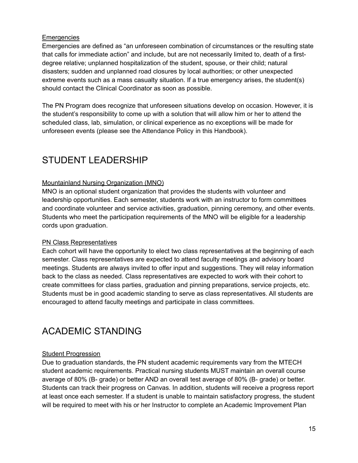#### **Emergencies**

Emergencies are defined as "an unforeseen combination of circumstances or the resulting state that calls for immediate action" and include, but are not necessarily limited to, death of a firstdegree relative; unplanned hospitalization of the student, spouse, or their child; natural disasters; sudden and unplanned road closures by local authorities; or other unexpected extreme events such as a mass casualty situation. If a true emergency arises, the student(s) should contact the Clinical Coordinator as soon as possible.

The PN Program does recognize that unforeseen situations develop on occasion. However, it is the student's responsibility to come up with a solution that will allow him or her to attend the scheduled class, lab, simulation, or clinical experience as no exceptions will be made for unforeseen events (please see the Attendance Policy in this Handbook).

### <span id="page-15-0"></span>STUDENT LEADERSHIP

#### Mountainland Nursing Organization (MNO)

MNO is an optional student organization that provides the students with volunteer and leadership opportunities. Each semester, students work with an instructor to form committees and coordinate volunteer and service activities, graduation, pinning ceremony, and other events. Students who meet the participation requirements of the MNO will be eligible for a leadership cords upon graduation.

#### PN Class Representatives

Each cohort will have the opportunity to elect two class representatives at the beginning of each semester. Class representatives are expected to attend faculty meetings and advisory board meetings. Students are always invited to offer input and suggestions. They will relay information back to the class as needed. Class representatives are expected to work with their cohort to create committees for class parties, graduation and pinning preparations, service projects, etc. Students must be in good academic standing to serve as class representatives. All students are encouraged to attend faculty meetings and participate in class committees.

### <span id="page-15-1"></span>ACADEMIC STANDING

#### **Student Progression**

Due to graduation standards, the PN student academic requirements vary from the MTECH student academic requirements. Practical nursing students MUST maintain an overall course average of 80% (B- grade) or better AND an overall test average of 80% (B- grade) or better. Students can track their progress on Canvas. In addition, students will receive a progress report at least once each semester. If a student is unable to maintain satisfactory progress, the student will be required to meet with his or her Instructor to complete an Academic Improvement Plan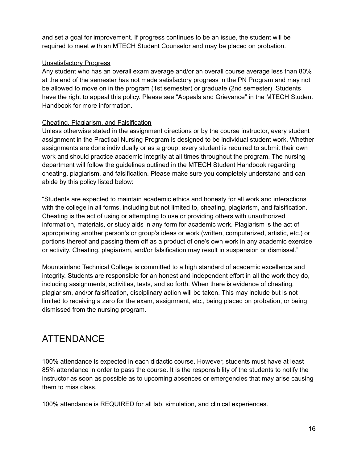and set a goal for improvement. If progress continues to be an issue, the student will be required to meet with an MTECH Student Counselor and may be placed on probation.

#### Unsatisfactory Progress

Any student who has an overall exam average and/or an overall course average less than 80% at the end of the semester has not made satisfactory progress in the PN Program and may not be allowed to move on in the program (1st semester) or graduate (2nd semester). Students have the right to appeal this policy. Please see "Appeals and Grievance" in the MTECH Student Handbook for more information.

#### Cheating, Plagiarism, and Falsification

Unless otherwise stated in the assignment directions or by the course instructor, every student assignment in the Practical Nursing Program is designed to be individual student work. Whether assignments are done individually or as a group, every student is required to submit their own work and should practice academic integrity at all times throughout the program. The nursing department will follow the guidelines outlined in the MTECH Student Handbook regarding cheating, plagiarism, and falsification. Please make sure you completely understand and can abide by this policy listed below:

"Students are expected to maintain academic ethics and honesty for all work and interactions with the college in all forms, including but not limited to, cheating, plagiarism, and falsification. Cheating is the act of using or attempting to use or providing others with unauthorized information, materials, or study aids in any form for academic work. Plagiarism is the act of appropriating another person's or group's ideas or work (written, computerized, artistic, etc.) or portions thereof and passing them off as a product of one's own work in any academic exercise or activity. Cheating, plagiarism, and/or falsification may result in suspension or dismissal."

Mountainland Technical College is committed to a high standard of academic excellence and integrity. Students are responsible for an honest and independent effort in all the work they do, including assignments, activities, tests, and so forth. When there is evidence of cheating, plagiarism, and/or falsification, disciplinary action will be taken. This may include but is not limited to receiving a zero for the exam, assignment, etc., being placed on probation, or being dismissed from the nursing program.

### <span id="page-16-0"></span>ATTENDANCE

100% attendance is expected in each didactic course. However, students must have at least 85% attendance in order to pass the course. It is the responsibility of the students to notify the instructor as soon as possible as to upcoming absences or emergencies that may arise causing them to miss class.

100% attendance is REQUIRED for all lab, simulation, and clinical experiences.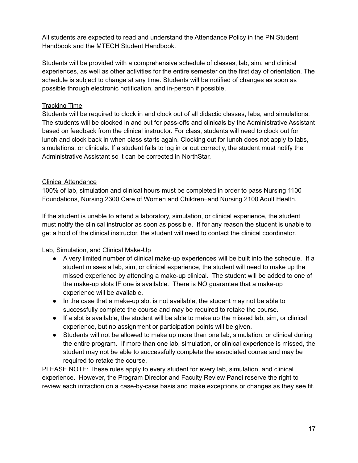All students are expected to read and understand the Attendance Policy in the PN Student Handbook and the MTECH Student Handbook.

Students will be provided with a comprehensive schedule of classes, lab, sim, and clinical experiences, as well as other activities for the entire semester on the first day of orientation. The schedule is subject to change at any time. Students will be notified of changes as soon as possible through electronic notification, and in-person if possible.

#### Tracking Time

Students will be required to clock in and clock out of all didactic classes, labs, and simulations. The students will be clocked in and out for pass-offs and clinicals by the Administrative Assistant based on feedback from the clinical instructor. For class, students will need to clock out for lunch and clock back in when class starts again. Clocking out for lunch does not apply to labs, simulations, or clinicals. If a student fails to log in or out correctly, the student must notify the Administrative Assistant so it can be corrected in NorthStar.

#### Clinical Attendance

100% of lab, simulation and clinical hours must be completed in order to pass Nursing 1100 Foundations, Nursing 2300 Care of Women and Children, and Nursing 2100 Adult Health.

If the student is unable to attend a laboratory, simulation, or clinical experience, the student must notify the clinical instructor as soon as possible. If for any reason the student is unable to get a hold of the clinical instructor, the student will need to contact the clinical coordinator.

Lab, Simulation, and Clinical Make-Up

- A very limited number of clinical make-up experiences will be built into the schedule. If a student misses a lab, sim, or clinical experience, the student will need to make up the missed experience by attending a make-up clinical. The student will be added to one of the make-up slots IF one is available. There is NO guarantee that a make-up experience will be available.
- In the case that a make-up slot is not available, the student may not be able to successfully complete the course and may be required to retake the course.
- If a slot is available, the student will be able to make up the missed lab, sim, or clinical experience, but no assignment or participation points will be given.
- Students will not be allowed to make up more than one lab, simulation, or clinical during the entire program. If more than one lab, simulation, or clinical experience is missed, the student may not be able to successfully complete the associated course and may be required to retake the course.

PLEASE NOTE: These rules apply to every student for every lab, simulation, and clinical experience. However, the Program Director and Faculty Review Panel reserve the right to review each infraction on a case-by-case basis and make exceptions or changes as they see fit.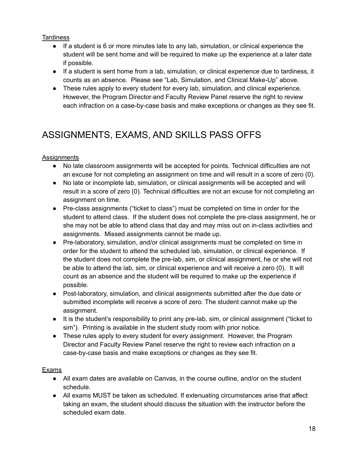#### **Tardiness**

- If a student is 6 or more minutes late to any lab, simulation, or clinical experience the student will be sent home and will be required to make up the experience at a later date if possible.
- If a student is sent home from a lab, simulation, or clinical experience due to tardiness, it counts as an absence. Please see "Lab, Simulation, and Clinical Make-Up" above.
- These rules apply to every student for every lab, simulation, and clinical experience. However, the Program Director and Faculty Review Panel reserve the right to review each infraction on a case-by-case basis and make exceptions or changes as they see fit.

### <span id="page-18-0"></span>ASSIGNMENTS, EXAMS, AND SKILLS PASS OFFS

#### **Assignments**

- No late classroom assignments will be accepted for points. Technical difficulties are not an excuse for not completing an assignment on time and will result in a score of zero (0).
- No late or incomplete lab, simulation, or clinical assignments will be accepted and will result in a score of zero (0). Technical difficulties are not an excuse for not completing an assignment on time.
- Pre-class assignments ("ticket to class") must be completed on time in order for the student to attend class. If the student does not complete the pre-class assignment, he or she may not be able to attend class that day and may miss out on in-class activities and assignments. Missed assignments cannot be made up.
- Pre-laboratory, simulation, and/or clinical assignments must be completed on time in order for the student to attend the scheduled lab, simulation, or clinical experience. If the student does not complete the pre-lab, sim, or clinical assignment, he or she will not be able to attend the lab, sim, or clinical experience and will receive a zero (0). It will count as an absence and the student will be required to make up the experience if possible.
- Post-laboratory, simulation, and clinical assignments submitted after the due date or submitted incomplete will receive a score of zero. The student cannot make up the assignment.
- It is the student's responsibility to print any pre-lab, sim, or clinical assignment ("ticket to sim"). Printing is available in the student study room with prior notice.
- These rules apply to every student for every assignment. However, the Program Director and Faculty Review Panel reserve the right to review each infraction on a case-by-case basis and make exceptions or changes as they see fit.

#### **Exams**

- All exam dates are available on Canvas, in the course outline, and/or on the student schedule.
- All exams MUST be taken as scheduled. If extenuating circumstances arise that affect taking an exam, the student should discuss the situation with the instructor before the scheduled exam date.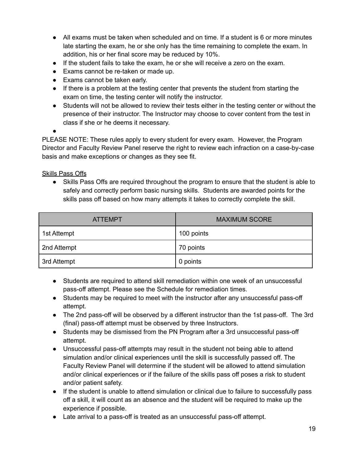- All exams must be taken when scheduled and on time. If a student is 6 or more minutes late starting the exam, he or she only has the time remaining to complete the exam. In addition, his or her final score may be reduced by 10%.
- If the student fails to take the exam, he or she will receive a zero on the exam.
- Exams cannot be re-taken or made up.
- Exams cannot be taken early.
- If there is a problem at the testing center that prevents the student from starting the exam on time, the testing center will notify the instructor.
- Students will not be allowed to review their tests either in the testing center or without the presence of their instructor. The Instructor may choose to cover content from the test in class if she or he deems it necessary.

●

PLEASE NOTE: These rules apply to every student for every exam. However, the Program Director and Faculty Review Panel reserve the right to review each infraction on a case-by-case basis and make exceptions or changes as they see fit.

**Skills Pass Offs** 

● Skills Pass Offs are required throughout the program to ensure that the student is able to safely and correctly perform basic nursing skills. Students are awarded points for the skills pass off based on how many attempts it takes to correctly complete the skill.

| <b>ATTEMPT</b> | <b>MAXIMUM SCORE</b> |  |
|----------------|----------------------|--|
| 1st Attempt    | 100 points           |  |
| 2nd Attempt    | 70 points            |  |
| 3rd Attempt    | 0 points             |  |

- Students are required to attend skill remediation within one week of an unsuccessful pass-off attempt. Please see the Schedule for remediation times.
- Students may be required to meet with the instructor after any unsuccessful pass-off attempt.
- The 2nd pass-off will be observed by a different instructor than the 1st pass-off. The 3rd (final) pass-off attempt must be observed by three Instructors.
- Students may be dismissed from the PN Program after a 3rd unsuccessful pass-off attempt.
- Unsuccessful pass-off attempts may result in the student not being able to attend simulation and/or clinical experiences until the skill is successfully passed off. The Faculty Review Panel will determine if the student will be allowed to attend simulation and/or clinical experiences or if the failure of the skills pass off poses a risk to student and/or patient safety.
- If the student is unable to attend simulation or clinical due to failure to successfully pass off a skill, it will count as an absence and the student will be required to make up the experience if possible.
- Late arrival to a pass-off is treated as an unsuccessful pass-off attempt.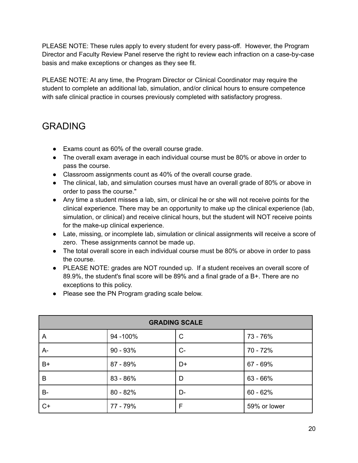PLEASE NOTE: These rules apply to every student for every pass-off. However, the Program Director and Faculty Review Panel reserve the right to review each infraction on a case-by-case basis and make exceptions or changes as they see fit.

PLEASE NOTE: At any time, the Program Director or Clinical Coordinator may require the student to complete an additional lab, simulation, and/or clinical hours to ensure competence with safe clinical practice in courses previously completed with satisfactory progress.

### <span id="page-20-0"></span>GRADING

- Exams count as 60% of the overall course grade.
- The overall exam average in each individual course must be 80% or above in order to pass the course.
- Classroom assignments count as 40% of the overall course grade.
- The clinical, lab, and simulation courses must have an overall grade of 80% or above in order to pass the course."
- Any time a student misses a lab, sim, or clinical he or she will not receive points for the clinical experience. There may be an opportunity to make up the clinical experience (lab, simulation, or clinical) and receive clinical hours, but the student will NOT receive points for the make-up clinical experience.
- Late, missing, or incomplete lab, simulation or clinical assignments will receive a score of zero. These assignments cannot be made up.
- The total overall score in each individual course must be 80% or above in order to pass the course.
- PLEASE NOTE: grades are NOT rounded up. If a student receives an overall score of 89.9%, the student's final score will be 89% and a final grade of a B+. There are no exceptions to this policy.
- Please see the PN Program grading scale below.

| <b>GRADING SCALE</b> |            |      |              |
|----------------------|------------|------|--------------|
| A                    | 94 - 100%  | C    | 73 - 76%     |
| $A-$                 | $90 - 93%$ | $C-$ | 70 - 72%     |
| B+                   | 87 - 89%   | D+   | 67 - 69%     |
| B                    | 83 - 86%   | D    | $63 - 66%$   |
| $B -$                | $80 - 82%$ | D-   | $60 - 62%$   |
| $C+$                 | 77 - 79%   | F    | 59% or lower |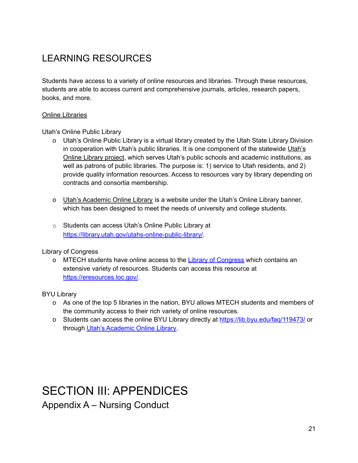### <span id="page-21-0"></span>LEARNING RESOURCES

Students have access to a variety of online resources and libraries. Through these resources, students are able to access current and comprehensive journals, articles, research papers, books, and more.

#### Online Libraries

Utah's Online Public Library

- o Utah's Online Public Library is a virtual library created by the Utah State Library Division in cooperation with [Utah's](https://utahsonlinelibrary.org/) public libraries. It is one component of the statewide Utah's Online [Library](https://utahsonlinelibrary.org/) project, which serves Utah's public schools and academic institutions, as well as patrons of public libraries. The purpose is: 1) service to Utah residents, and 2) provide quality information resources. Access to resources vary by library depending on contracts and consortia membership.
- o Utah's [Academic](https://ualc.net/academic-pioneer/) Online Library is a website under the Utah's Online Library banner, which has been designed to meet the needs of university and college students.
- o Students can access Utah's Online Public Library at <https://library.utah.gov/utahs-online-public-library/>.

#### Library of Congress

o MTECH students have online access to the Library of [Congress](https://eresources.loc.gov/) which contains an extensive variety of resources. Students can access this resource at <https://eresources.loc.gov/>.

#### BYU Library

- o As one of the top 5 libraries in the nation, BYU allows MTECH students and members of the community access to their rich variety of online resources.
- o Students can access the online BYU Library directly at <https://lib.byu.edu/faq/119473/> or through Utah's [Academic](https://ualc.net/academic-pioneer/) Online Library.

## <span id="page-21-2"></span><span id="page-21-1"></span>SECTION III: APPENDICES Appendix A – Nursing Conduct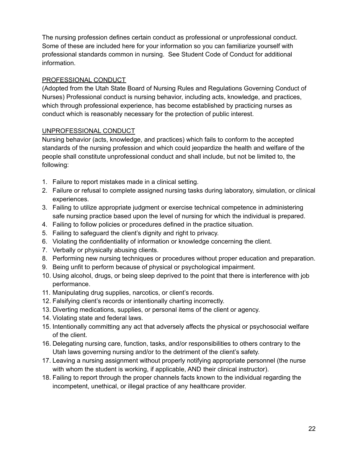The nursing profession defines certain conduct as professional or unprofessional conduct. Some of these are included here for your information so you can familiarize yourself with professional standards common in nursing. See Student Code of Conduct for additional information.

#### PROFESSIONAL CONDUCT

(Adopted from the Utah State Board of Nursing Rules and Regulations Governing Conduct of Nurses) Professional conduct is nursing behavior, including acts, knowledge, and practices, which through professional experience, has become established by practicing nurses as conduct which is reasonably necessary for the protection of public interest.

#### UNPROFESSIONAL CONDUCT

Nursing behavior (acts, knowledge, and practices) which fails to conform to the accepted standards of the nursing profession and which could jeopardize the health and welfare of the people shall constitute unprofessional conduct and shall include, but not be limited to, the following:

- 1. Failure to report mistakes made in a clinical setting.
- 2. Failure or refusal to complete assigned nursing tasks during laboratory, simulation, or clinical experiences.
- 3. Failing to utilize appropriate judgment or exercise technical competence in administering safe nursing practice based upon the level of nursing for which the individual is prepared.
- 4. Failing to follow policies or procedures defined in the practice situation.
- 5. Failing to safeguard the client's dignity and right to privacy.
- 6. Violating the confidentiality of information or knowledge concerning the client.
- 7. Verbally or physically abusing clients.
- 8. Performing new nursing techniques or procedures without proper education and preparation.
- 9. Being unfit to perform because of physical or psychological impairment.
- 10. Using alcohol, drugs, or being sleep deprived to the point that there is interference with job performance.
- 11. Manipulating drug supplies, narcotics, or client's records.
- 12. Falsifying client's records or intentionally charting incorrectly.
- 13. Diverting medications, supplies, or personal items of the client or agency.
- 14. Violating state and federal laws.
- 15. Intentionally committing any act that adversely affects the physical or psychosocial welfare of the client.
- 16. Delegating nursing care, function, tasks, and/or responsibilities to others contrary to the Utah laws governing nursing and/or to the detriment of the client's safety.
- 17. Leaving a nursing assignment without properly notifying appropriate personnel (the nurse with whom the student is working, if applicable, AND their clinical instructor).
- 18. Failing to report through the proper channels facts known to the individual regarding the incompetent, unethical, or illegal practice of any healthcare provider.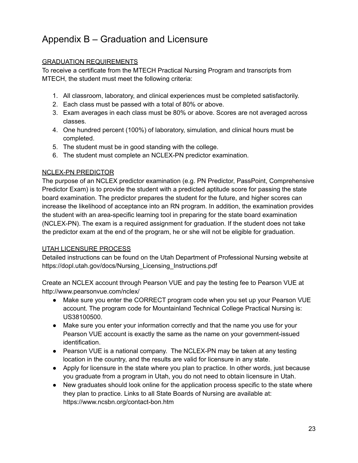### <span id="page-23-0"></span>Appendix B – Graduation and Licensure

#### GRADUATION REQUIREMENTS

To receive a certificate from the MTECH Practical Nursing Program and transcripts from MTECH, the student must meet the following criteria:

- 1. All classroom, laboratory, and clinical experiences must be completed satisfactorily.
- 2. Each class must be passed with a total of 80% or above.
- 3. Exam averages in each class must be 80% or above. Scores are not averaged across classes.
- 4. One hundred percent (100%) of laboratory, simulation, and clinical hours must be completed.
- 5. The student must be in good standing with the college.
- 6. The student must complete an NCLEX-PN predictor examination.

#### NCLEX-PN PREDICTOR

The purpose of an NCLEX predictor examination (e.g. PN Predictor, PassPoint, Comprehensive Predictor Exam) is to provide the student with a predicted aptitude score for passing the state board examination. The predictor prepares the student for the future, and higher scores can increase the likelihood of acceptance into an RN program. In addition, the examination provides the student with an area-specific learning tool in preparing for the state board examination (NCLEX-PN). The exam is a required assignment for graduation. If the student does not take the predictor exam at the end of the program, he or she will not be eligible for graduation.

#### UTAH LICENSURE PROCESS

Detailed instructions can be found on the Utah Department of Professional Nursing website at https://dopl.utah.gov/docs/Nursing\_Licensing\_Instructions.pdf

Create an NCLEX account through Pearson VUE and pay the testing fee to Pearson VUE at http://www.pearsonvue.com/nclex/

- Make sure you enter the CORRECT program code when you set up your Pearson VUE account. The program code for Mountainland Technical College Practical Nursing is: US38100500.
- Make sure you enter your information correctly and that the name you use for your Pearson VUE account is exactly the same as the name on your government-issued identification.
- Pearson VUE is a national company. The NCLEX-PN may be taken at any testing location in the country, and the results are valid for licensure in any state.
- Apply for licensure in the state where you plan to practice. In other words, just because you graduate from a program in Utah, you do not need to obtain licensure in Utah.
- New graduates should look online for the application process specific to the state where they plan to practice. Links to all State Boards of Nursing are available at: https://www.ncsbn.org/contact-bon.htm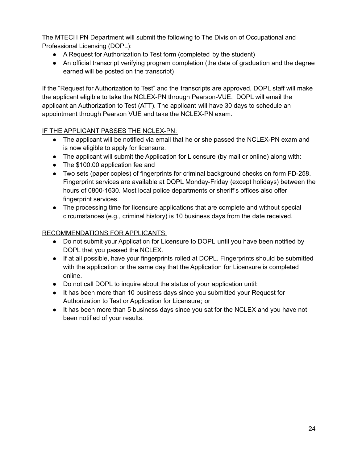The MTECH PN Department will submit the following to The Division of Occupational and Professional Licensing (DOPL):

- A Request for Authorization to Test form (completed by the student)
- An official transcript verifying program completion (the date of graduation and the degree earned will be posted on the transcript)

If the "Request for Authorization to Test" and the transcripts are approved, DOPL staff will make the applicant eligible to take the NCLEX-PN through Pearson-VUE. DOPL will email the applicant an Authorization to Test (ATT). The applicant will have 30 days to schedule an appointment through Pearson VUE and take the NCLEX-PN exam.

#### IF THE APPLICANT PASSES THE NCLEX-PN:

- The applicant will be notified via email that he or she passed the NCLEX-PN exam and is now eligible to apply for licensure.
- The applicant will submit the Application for Licensure (by mail or online) along with:
- The \$100.00 application fee and
- Two sets (paper copies) of fingerprints for criminal background checks on form FD-258. Fingerprint services are available at DOPL Monday-Friday (except holidays) between the hours of 0800-1630. Most local police departments or sheriff's offices also offer fingerprint services.
- The processing time for licensure applications that are complete and without special circumstances (e.g., criminal history) is 10 business days from the date received.

#### RECOMMENDATIONS FOR APPLICANTS:

- Do not submit your Application for Licensure to DOPL until you have been notified by DOPL that you passed the NCLEX.
- If at all possible, have your fingerprints rolled at DOPL. Fingerprints should be submitted with the application or the same day that the Application for Licensure is completed online.
- Do not call DOPL to inquire about the status of your application until:
- It has been more than 10 business days since you submitted your Request for Authorization to Test or Application for Licensure; or
- It has been more than 5 business days since you sat for the NCLEX and you have not been notified of your results.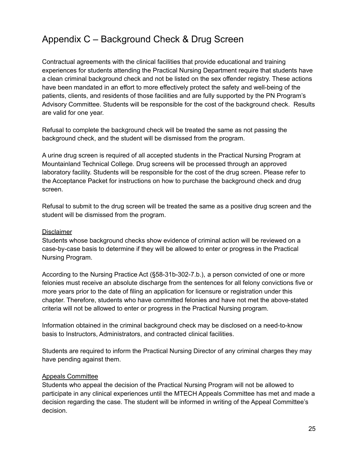### <span id="page-25-0"></span>Appendix C – Background Check & Drug Screen

Contractual agreements with the clinical facilities that provide educational and training experiences for students attending the Practical Nursing Department require that students have a clean criminal background check and not be listed on the sex offender registry. These actions have been mandated in an effort to more effectively protect the safety and well-being of the patients, clients, and residents of those facilities and are fully supported by the PN Program's Advisory Committee. Students will be responsible for the cost of the background check. Results are valid for one year.

Refusal to complete the background check will be treated the same as not passing the background check, and the student will be dismissed from the program.

A urine drug screen is required of all accepted students in the Practical Nursing Program at Mountainland Technical College. Drug screens will be processed through an approved laboratory facility. Students will be responsible for the cost of the drug screen. Please refer to the Acceptance Packet for instructions on how to purchase the background check and drug screen.

Refusal to submit to the drug screen will be treated the same as a positive drug screen and the student will be dismissed from the program.

#### **Disclaimer**

Students whose background checks show evidence of criminal action will be reviewed on a case-by-case basis to determine if they will be allowed to enter or progress in the Practical Nursing Program.

According to the Nursing Practice Act (§58-31b-302-7.b.), a person convicted of one or more felonies must receive an absolute discharge from the sentences for all felony convictions five or more years prior to the date of filing an application for licensure or registration under this chapter. Therefore, students who have committed felonies and have not met the above-stated criteria will not be allowed to enter or progress in the Practical Nursing program.

Information obtained in the criminal background check may be disclosed on a need-to-know basis to Instructors, Administrators, and contracted clinical facilities.

Students are required to inform the Practical Nursing Director of any criminal charges they may have pending against them.

#### Appeals Committee

Students who appeal the decision of the Practical Nursing Program will not be allowed to participate in any clinical experiences until the MTECH Appeals Committee has met and made a decision regarding the case. The student will be informed in writing of the Appeal Committee's decision.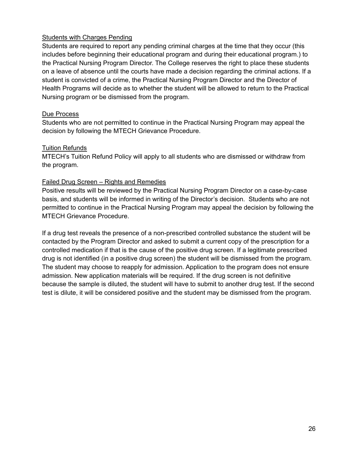#### Students with Charges Pending

Students are required to report any pending criminal charges at the time that they occur (this includes before beginning their educational program and during their educational program.) to the Practical Nursing Program Director. The College reserves the right to place these students on a leave of absence until the courts have made a decision regarding the criminal actions. If a student is convicted of a crime, the Practical Nursing Program Director and the Director of Health Programs will decide as to whether the student will be allowed to return to the Practical Nursing program or be dismissed from the program.

#### Due Process

Students who are not permitted to continue in the Practical Nursing Program may appeal the decision by following the MTECH Grievance Procedure.

#### Tuition Refunds

MTECH's Tuition Refund Policy will apply to all students who are dismissed or withdraw from the program.

#### Failed Drug Screen – Rights and Remedies

Positive results will be reviewed by the Practical Nursing Program Director on a case-by-case basis, and students will be informed in writing of the Director's decision. Students who are not permitted to continue in the Practical Nursing Program may appeal the decision by following the MTECH Grievance Procedure.

If a drug test reveals the presence of a non-prescribed controlled substance the student will be contacted by the Program Director and asked to submit a current copy of the prescription for a controlled medication if that is the cause of the positive drug screen. If a legitimate prescribed drug is not identified (in a positive drug screen) the student will be dismissed from the program. The student may choose to reapply for admission. Application to the program does not ensure admission. New application materials will be required. If the drug screen is not definitive because the sample is diluted, the student will have to submit to another drug test. If the second test is dilute, it will be considered positive and the student may be dismissed from the program.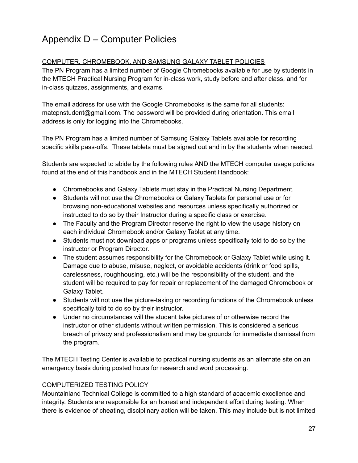### <span id="page-27-0"></span>Appendix D – Computer Policies

#### COMPUTER, CHROMEBOOK, AND SAMSUNG GALAXY TABLET POLICIES

The PN Program has a limited number of Google Chromebooks available for use by students in the MTECH Practical Nursing Program for in-class work, study before and after class, and for in-class quizzes, assignments, and exams.

The email address for use with the Google Chromebooks is the same for all students: matcpnstudent@gmail.com. The password will be provided during orientation. This email address is only for logging into the Chromebooks.

The PN Program has a limited number of Samsung Galaxy Tablets available for recording specific skills pass-offs. These tablets must be signed out and in by the students when needed.

Students are expected to abide by the following rules AND the MTECH computer usage policies found at the end of this handbook and in the MTECH Student Handbook:

- Chromebooks and Galaxy Tablets must stay in the Practical Nursing Department.
- Students will not use the Chromebooks or Galaxy Tablets for personal use or for browsing non-educational websites and resources unless specifically authorized or instructed to do so by their Instructor during a specific class or exercise.
- The Faculty and the Program Director reserve the right to view the usage history on each individual Chromebook and/or Galaxy Tablet at any time.
- Students must not download apps or programs unless specifically told to do so by the instructor or Program Director.
- The student assumes responsibility for the Chromebook or Galaxy Tablet while using it. Damage due to abuse, misuse, neglect, or avoidable accidents (drink or food spills, carelessness, roughhousing, etc.) will be the responsibility of the student, and the student will be required to pay for repair or replacement of the damaged Chromebook or Galaxy Tablet.
- Students will not use the picture-taking or recording functions of the Chromebook unless specifically told to do so by their instructor.
- Under no circumstances will the student take pictures of or otherwise record the instructor or other students without written permission. This is considered a serious breach of privacy and professionalism and may be grounds for immediate dismissal from the program.

The MTECH Testing Center is available to practical nursing students as an alternate site on an emergency basis during posted hours for research and word processing.

#### COMPUTERIZED TESTING POLICY

Mountainland Technical College is committed to a high standard of academic excellence and integrity. Students are responsible for an honest and independent effort during testing. When there is evidence of cheating, disciplinary action will be taken. This may include but is not limited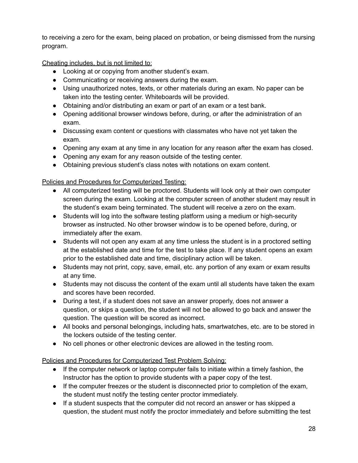to receiving a zero for the exam, being placed on probation, or being dismissed from the nursing program.

Cheating includes, but is not limited to:

- Looking at or copying from another student's exam.
- Communicating or receiving answers during the exam.
- Using unauthorized notes, texts, or other materials during an exam. No paper can be taken into the testing center. Whiteboards will be provided.
- Obtaining and/or distributing an exam or part of an exam or a test bank.
- Opening additional browser windows before, during, or after the administration of an exam.
- Discussing exam content or questions with classmates who have not yet taken the exam.
- Opening any exam at any time in any location for any reason after the exam has closed.
- Opening any exam for any reason outside of the testing center.
- Obtaining previous student's class notes with notations on exam content.

#### Policies and Procedures for Computerized Testing:

- All computerized testing will be proctored. Students will look only at their own computer screen during the exam. Looking at the computer screen of another student may result in the student's exam being terminated. The student will receive a zero on the exam.
- Students will log into the software testing platform using a medium or high-security browser as instructed. No other browser window is to be opened before, during, or immediately after the exam.
- Students will not open any exam at any time unless the student is in a proctored setting at the established date and time for the test to take place. If any student opens an exam prior to the established date and time, disciplinary action will be taken.
- Students may not print, copy, save, email, etc. any portion of any exam or exam results at any time.
- Students may not discuss the content of the exam until all students have taken the exam and scores have been recorded.
- During a test, if a student does not save an answer properly, does not answer a question, or skips a question, the student will not be allowed to go back and answer the question. The question will be scored as incorrect.
- All books and personal belongings, including hats, smartwatches, etc. are to be stored in the lockers outside of the testing center.
- No cell phones or other electronic devices are allowed in the testing room.

Policies and Procedures for Computerized Test Problem Solving:

- If the computer network or laptop computer fails to initiate within a timely fashion, the Instructor has the option to provide students with a paper copy of the test.
- If the computer freezes or the student is disconnected prior to completion of the exam, the student must notify the testing center proctor immediately.
- If a student suspects that the computer did not record an answer or has skipped a question, the student must notify the proctor immediately and before submitting the test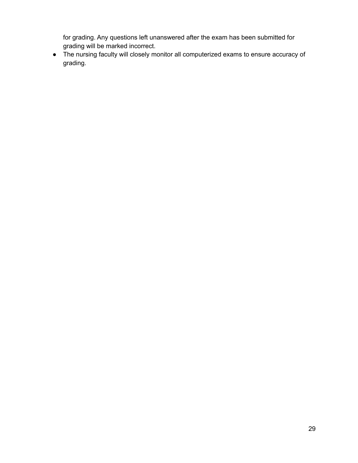for grading. Any questions left unanswered after the exam has been submitted for grading will be marked incorrect.

● The nursing faculty will closely monitor all computerized exams to ensure accuracy of grading.